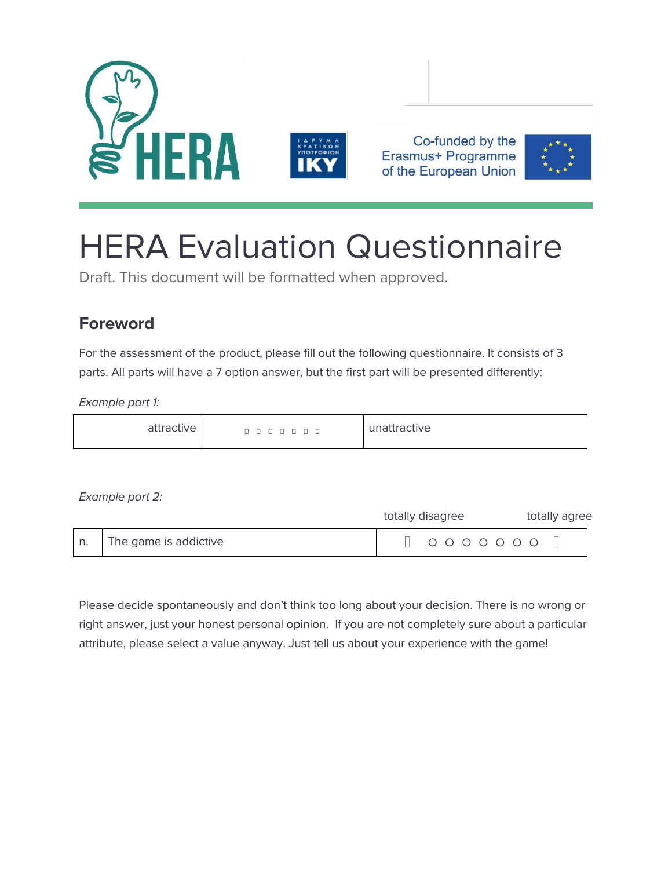



Co-funded by the Erasmus+ Programme of the European Union



# HERA Evaluation Questionnaire

Draft. This document will be formatted when approved.

# **Foreword**

For the assessment of the product, please fill out the following questionnaire. It consists of 3 parts. All parts will have a 7 option answer, but the first part will be presented differently:

*Example part 1:*

| attractive | $\overline{\phantom{0}}$<br>$\overline{\phantom{0}}$<br>$\Box$ | unattractive |
|------------|----------------------------------------------------------------|--------------|
|------------|----------------------------------------------------------------|--------------|

*Example part 2:*

|                       | totally disagree  | totally agree |
|-----------------------|-------------------|---------------|
| The game is addictive | $0 0 0 0 0 0 0 0$ |               |

Please decide spontaneously and don't think too long about your decision. There is no wrong or right answer, just your honest personal opinion. If you are not completely sure about a particular attribute, please select a value anyway. Just tell us about your experience with the game!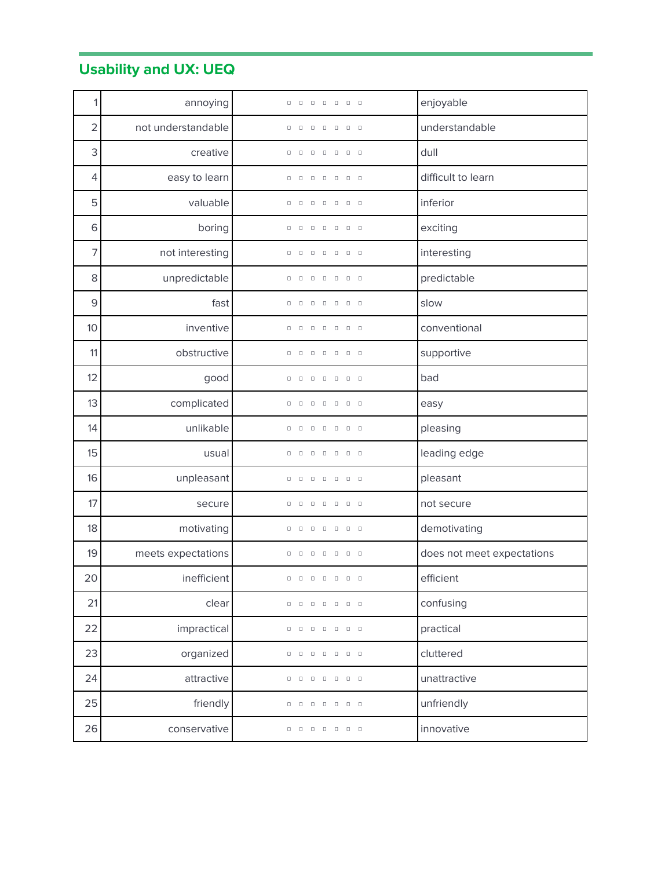# **Usability and UX: UEQ**

| 1              | annoying           | $\Box$<br>$\Box$                                                                                                           | enjoyable                  |
|----------------|--------------------|----------------------------------------------------------------------------------------------------------------------------|----------------------------|
| $\overline{2}$ | not understandable | $\Box$<br>$\Box$<br>$\begin{array}{ccc} \Box & \Box \end{array}$<br>$\Box$<br>$\Box$<br>0                                  | understandable             |
| 3              | creative           | $\Box$<br>$\Box$<br>0<br>$\Box$<br>о<br>о<br>$\Box$                                                                        | dull                       |
| 4              | easy to learn      | $\Box$<br>0<br>$\Box$<br>$\Box$<br>$\Box$<br>$\Box$<br>$\Box$                                                              | difficult to learn         |
| 5              | valuable           | $\Box$<br>0<br>$\Box$<br>$\Box$                                                                                            | inferior                   |
| 6              | boring             | $\begin{array}{cccccccccccccc} 0 & 0 & 0 & 0 \end{array}$<br>$\Box$<br>о<br>$\Box$<br>$\Box$                               | exciting                   |
| 7              | not interesting    | $\Box$<br>$\Box$<br>$\Box$<br>0<br>$\Box$<br>$\begin{array}{ccc} & & & \\ \Box & & \Box \end{array}$                       | interesting                |
| 8              | unpredictable      | $\Box$<br>о<br>$\Box$<br>$\Box$<br>$\Box$<br>$\Box$<br>$\Box$                                                              | predictable                |
| $\mathsf 9$    | fast               | $\Box$<br>$\begin{array}{cccccccccccccc} 0 & 0 & 0 & 0 & 0 \end{array}$<br>$\Box$<br>0                                     | slow                       |
| 10             | inventive          | $\begin{array}{cccccccccccccc} 0 & 0 & 0 & 0 & 0 & 0 \end{array}$<br>$\begin{array}{ccc} & & \\ \Box & & \Box \end{array}$ | conventional               |
| 11             | obstructive        | $\begin{array}{cccccccccccccc} 0 & 0 & 0 & 0 & 0 \end{array}$<br>о<br>$\Box$<br>$\Box$                                     | supportive                 |
| 12             | good               | $\Box$<br>$\Box$<br>$\begin{array}{cccccccccccccc} \Box & \Box & \Box & \Box & \Box \end{array}$<br>$\Box$<br>0            | bad                        |
| 13             | complicated        | $\Box$<br>$\Box$<br>о<br>$\Box$<br>$\Box$<br>$\Box$<br>$\Box$                                                              | easy                       |
| 14             | unlikable          | $\Box$<br>$\Box$<br>$\Box$<br>$\Box$<br>$\Box$<br>$\Box$<br>0                                                              | pleasing                   |
| 15             | usual              | $\qquad \Box$<br>$\Box$<br>0<br>$\Box$<br>$\Box$<br>$\Box$<br>$\Box$                                                       | leading edge               |
| 16             | unpleasant         | $\Box$<br>о<br>$\Box$<br>0<br>0<br>$\Box$<br>$\Box$                                                                        | pleasant                   |
| 17             | secure             | о<br>$\Box$<br>$\Box$<br>$\Box$<br>$\Box$<br>O<br>$\Box$                                                                   | not secure                 |
| 18             | motivating         | $\Box$<br>$\Box$<br>о<br>$\Box$<br>$\Box$<br>$\Box$<br>$\Box$                                                              | demotivating               |
| 19             | meets expectations | $\begin{array}{ccc} \square & \square \end{array}$<br>$\begin{array}{cccccccccccccc} 0 & 0 & 0 & 0 & 0 & 0 \end{array}$    | does not meet expectations |
| 20             | inefficient        | .                                                                                                                          | efficient                  |
| 21             | clear              | $\begin{array}{cccccccccccccc} 0 & 0 & 0 & 0 & 0 \end{array}$<br>о<br>$\Box$<br>$\Box$                                     | confusing                  |
| 22             | impractical        | 0 0 0 0<br>$\Box$<br>$\Box$<br>$\Box$                                                                                      | practical                  |
| 23             | organized          | $\begin{array}{ccc} & & & \\ \Box & & \Box \end{array}$                                                                    | cluttered                  |
| 24             | attractive         | 0000000                                                                                                                    | unattractive               |
| 25             | friendly           | 0000000                                                                                                                    | unfriendly                 |
| 26             | conservative       | 0 0 0 0 0<br>$\begin{array}{ccc} \square & \square \end{array}$                                                            | innovative                 |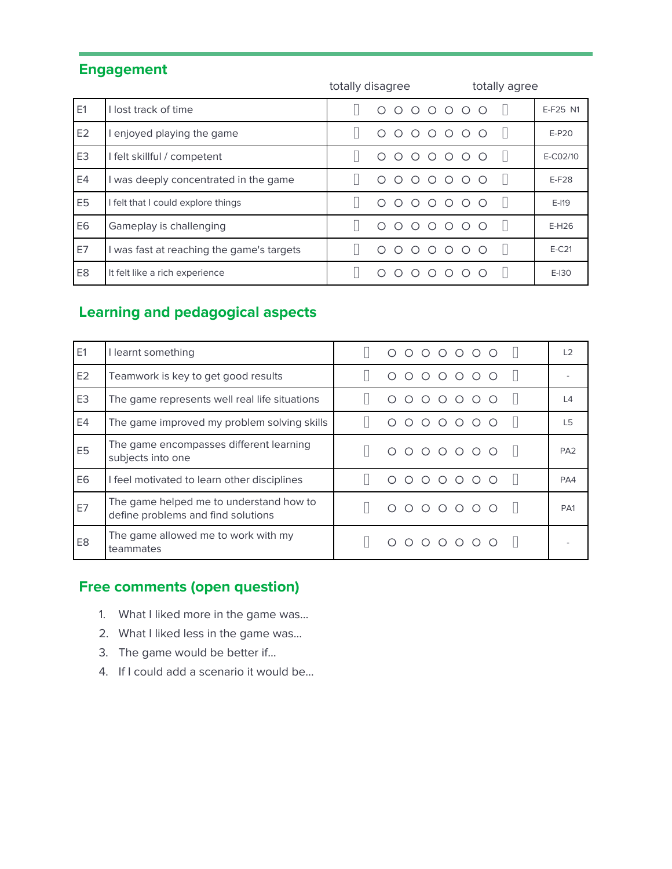## **Engagement**

|                |                                           | totally disagree                                                                                                     | totally agree   |          |
|----------------|-------------------------------------------|----------------------------------------------------------------------------------------------------------------------|-----------------|----------|
| E1             | I lost track of time                      | 0000000                                                                                                              |                 | E-F25 N1 |
| E <sub>2</sub> | I enjoyed playing the game                | $\begin{array}{ccccccccccccccccc} \circ & \circ & \circ & \circ & \circ & \circ & \circ \end{array}$<br>∩<br>$\circ$ |                 | $E-P20$  |
| E <sub>3</sub> | I felt skillful / competent               | $\circ \circ \circ \circ \circ$<br>∩<br>$\bigcirc$                                                                   | $\bigcap$       | E-C02/10 |
| E4             | I was deeply concentrated in the game     | $000000$<br>∩                                                                                                        | ∩               | $E-F28$  |
| E <sub>5</sub> | I felt that I could explore things        | $O$ $O$ $O$<br>$\bigcirc$<br>∩<br>∩                                                                                  | ∩               | $E-119$  |
| E <sub>6</sub> | Gameplay is challenging                   | $0000000$<br>∩                                                                                                       |                 | $E-H26$  |
| E7             | I was fast at reaching the game's targets | ∩<br>∩<br>$\bigcirc$<br>∩                                                                                            | $\circ$ $\circ$ | $E-C21$  |
| E <sub>8</sub> | It felt like a rich experience            | $\cap$<br>∩<br>∩<br>∩<br>∩                                                                                           | ∩               | $E-I30$  |

## **Learning and pedagogical aspects**

| E1             | I learnt something                                                            | 0000000         | L <sub>2</sub>  |
|----------------|-------------------------------------------------------------------------------|-----------------|-----------------|
| E <sub>2</sub> | Teamwork is key to get good results                                           | 0000000         |                 |
| E <sub>3</sub> | The game represents well real life situations                                 | $0000000$       | $\overline{4}$  |
| E4             | The game improved my problem solving skills                                   | $0000000$<br>◯  | L <sub>5</sub>  |
| E <sub>5</sub> | The game encompasses different learning<br>subjects into one                  | $0 0 0 0 0 0 0$ | PA <sub>2</sub> |
| E <sub>6</sub> | I feel motivated to learn other disciplines                                   | $0000000$<br>∩  | PA4             |
| E7             | The game helped me to understand how to<br>define problems and find solutions | $0 0 0 0 0 0 0$ | PA <sub>1</sub> |
| E <sub>8</sub> | The game allowed me to work with my<br>teammates                              | $0000000$       |                 |

#### **Free comments (open question)**

- 1. What I liked more in the game was…
- 2. What I liked less in the game was...
- 3. The game would be better if…
- 4. If I could add a scenario it would be…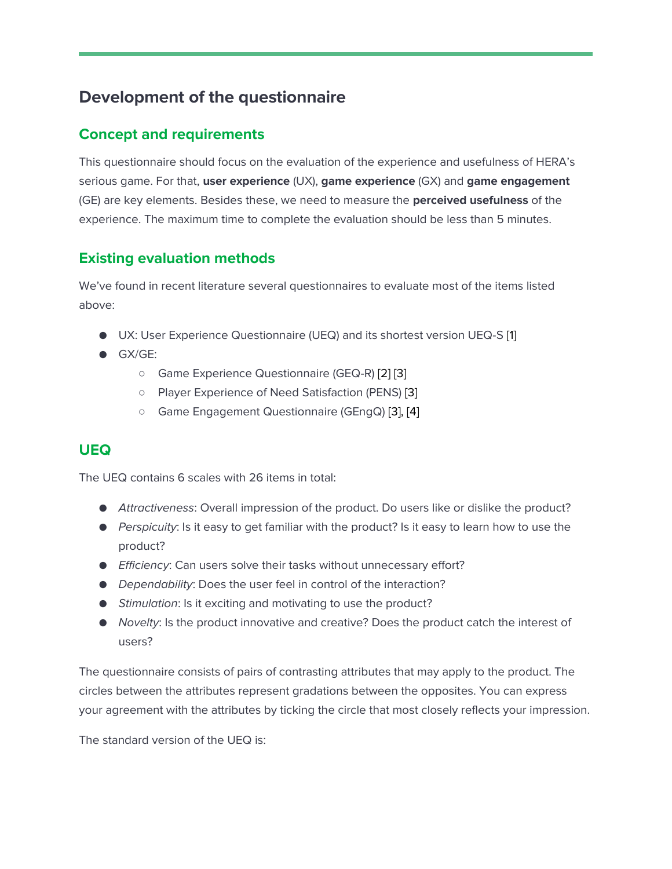# **Development of the questionnaire**

#### **Concept and requirements**

This questionnaire should focus on the evaluation of the experience and usefulness of HERA's serious game. For that, **user experience** (UX), **game experience** (GX) and **game engagement** (GE) are key elements. Besides these, we need to measure the **perceived usefulness** of the experience. The maximum time to complete the evaluation should be less than 5 minutes.

#### **Existing evaluation methods**

We've found in recent literature several questionnaires to evaluate most of the items listed above:

- UX: User Experience Questionnaire (UEQ) and its shortest version UEQ-S [\[1\]](https://paperpile.com/c/SK64uV/p5Tf)
- GX/GE:
	- Game Experience Questionnaire (GEQ-R) [\[2\]](https://paperpile.com/c/SK64uV/PGJx) [\[3\]](https://paperpile.com/c/SK64uV/tktJ)
	- Player Experience of Need Satisfaction (PENS) [\[3\]](https://paperpile.com/c/SK64uV/tktJ)
	- Game Engagement Questionnaire (GEngQ) [\[3\], \[4\]](https://paperpile.com/c/SK64uV/tktJ+RB7y)

#### **UEQ**

The UEQ contains 6 scales with 26 items in total:

- *Attractiveness*: Overall impression of the product. Do users like or dislike the product?
- *Perspicuity*: Is it easy to get familiar with the product? Is it easy to learn how to use the product?
- *Efficiency*: Can users solve their tasks without unnecessary effort?
- *Dependability*: Does the user feel in control of the interaction?
- *Stimulation*: Is it exciting and motivating to use the product?
- *Novelty*: Is the product innovative and creative? Does the product catch the interest of users?

The questionnaire consists of pairs of contrasting attributes that may apply to the product. The circles between the attributes represent gradations between the opposites. You can express your agreement with the attributes by ticking the circle that most closely reflects your impression.

The standard version of the UEQ is: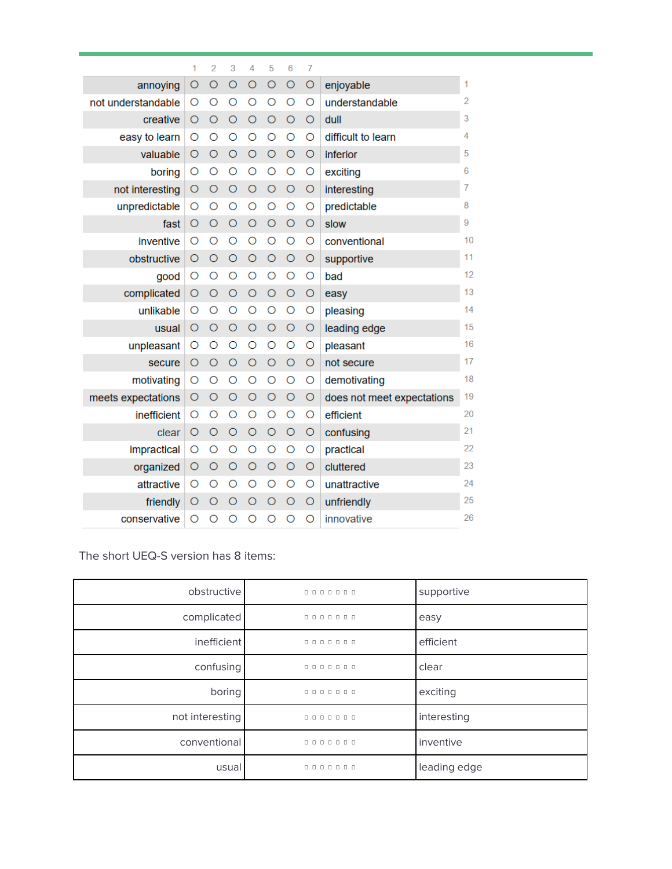|                    | 1        | $\overline{2}$ | 3       | 4       | 5       | 6       | 7       |                            |    |
|--------------------|----------|----------------|---------|---------|---------|---------|---------|----------------------------|----|
| annoying           | O        | $\circ$        | $\circ$ | $\circ$ | $\circ$ | $\circ$ | $\circ$ | enjoyable                  | 1  |
| not understandable | O        | O              | O       | O       | O       | O       | O       | understandable             | 2  |
| creative           | O        | $\circ$        | $\circ$ | $\circ$ | $\circ$ | $\circ$ | $\circ$ | dull                       | 3  |
| easy to learn      | O        | O              | O       | O       | O       | O       | O       | difficult to learn         | 4  |
| valuable           | $\circ$  | $\circ$        | $\circ$ | $\circ$ | $\circ$ | $\circ$ | $\circ$ | inferior                   | 5  |
| boring             | O        | O              | O       | O       | $\circ$ | O       | O       | exciting                   | 6  |
| not interesting    | $\circ$  | $\circ$        | $\circ$ | $\circ$ | $\circ$ | $\circ$ | $\circ$ | interesting                | 7  |
| unpredictable      | O        | O              | O       | O       | O       | O       | O       | predictable                | 8  |
| fast               | O        | $\circ$        | $\circ$ | $\circ$ | $\circ$ | $\circ$ | $\circ$ | slow                       | 9  |
| inventive          | O        | O              | O       | O       | O       | O       | O       | conventional               | 10 |
| obstructive        | O        | $\circ$        | $\circ$ | $\circ$ | $\circ$ | $\circ$ | O       | supportive                 | 11 |
| good               | O        | O              | O       | $\circ$ | O       | O       | O       | bad                        | 12 |
| complicated        | O        | O              | $\circ$ | $\circ$ | $\circ$ | $\circ$ | O       | easy                       | 13 |
| unlikable          | O        | O              | O       | O       | O       | O       | O       | pleasing                   | 14 |
| usual              | $\circ$  | $\circ$        | $\circ$ | $\circ$ | $\circ$ | $\circ$ | $\circ$ | leading edge               | 15 |
| unpleasant         | O        | O              | O       | O       | O       | O       | O       | pleasant                   | 16 |
| secure             | $\circ$  | $\circ$        | $\circ$ | $\circ$ | $\circ$ | $\circ$ | $\circ$ | not secure                 | 17 |
| motivating         | O        | O              | O       | O       | O       | O       | O       | demotivating               | 18 |
| meets expectations | O        | $\circ$        | $\circ$ | $\circ$ | $\circ$ | $\circ$ | O       | does not meet expectations | 19 |
| inefficient        | O        | O              | O       | O       | O       | O       | O       | efficient                  | 20 |
| clear              | O        | O              | $\circ$ | $\circ$ | $\circ$ | $\circ$ | O       | confusing                  | 21 |
| impractical        | O        | O              | O       | O       | O       | O       | O       | practical                  | 22 |
| organized          | O        | $\circ$        | $\circ$ | $\circ$ | $\circ$ | $\circ$ | $\circ$ | cluttered                  | 23 |
| attractive         | O        | O              | O       | O       | O       | O       | O       | unattractive               | 24 |
| friendly           | O        | $\circ$        | $\circ$ | $\circ$ | $\circ$ | $\circ$ | O       | unfriendly                 | 25 |
| conservative       | $\Omega$ | Ο              | O       | O       | O       | O       | O       | innovative                 | 26 |

The short UEQ-S version has 8 items:

| obstructive     | $0 0 0 0 0 0 0 0$ | supportive   |
|-----------------|-------------------|--------------|
| complicated     | $0 0 0 0 0 0 0 0$ | easy         |
| inefficient     | $0 0 0 0 0 0 0 0$ | efficient    |
| confusing       | 0000000           | clear        |
| boring          | $0 0 0 0 0 0 0 0$ | exciting     |
| not interesting | $0 0 0 0 0 0 0 0$ | interesting  |
| conventional    | $0 0 0 0 0 0 0 0$ | inventive    |
| usual           | $0 0 0 0 0 0 0 0$ | leading edge |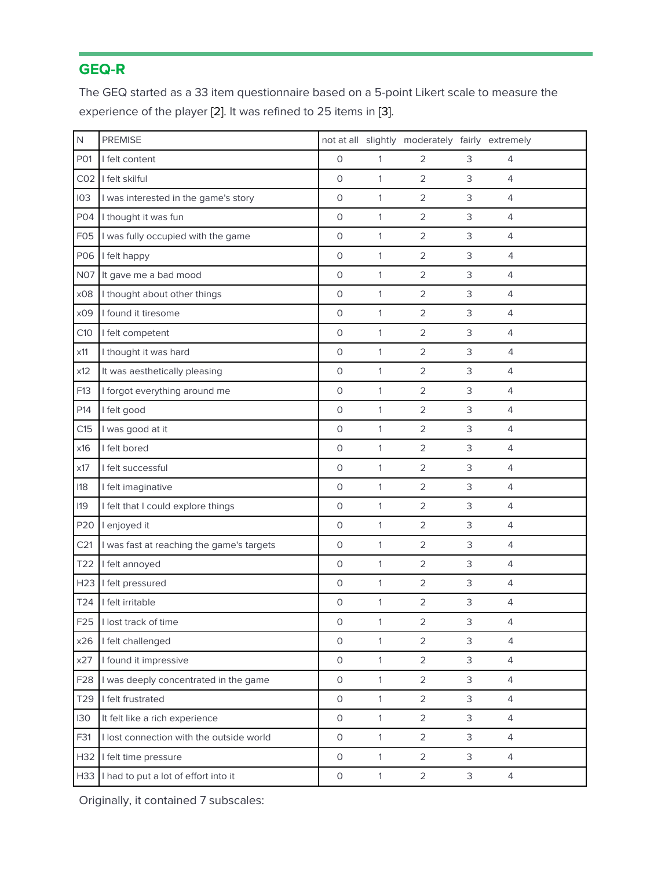# **GEQ-R**

The GEQ started as a 33 item questionnaire based on a 5-point Likert scale to measure the experience of the player [\[2\].](https://paperpile.com/c/SK64uV/PGJx) It was refined to 25 items in [\[3\].](https://paperpile.com/c/SK64uV/tktJ) 

| N                | <b>PREMISE</b>                            |                     |              | not at all slightly moderately fairly extremely |                           |                |
|------------------|-------------------------------------------|---------------------|--------------|-------------------------------------------------|---------------------------|----------------|
| P01              | I felt content                            | $\mathsf{O}\xspace$ | 1            | $\overline{2}$                                  | 3                         | $\overline{4}$ |
| CO <sub>2</sub>  | I felt skilful                            | $\mathsf O$         | 1            | $\overline{2}$                                  | 3                         | $\overline{4}$ |
| 103              | I was interested in the game's story      | $\circ$             | 1            | $\overline{2}$                                  | 3                         | 4              |
| P04              | I thought it was fun                      | $\circ$             | 1            | $\overline{2}$                                  | $\ensuremath{\mathsf{3}}$ | $\overline{4}$ |
| F <sub>0</sub> 5 | I was fully occupied with the game        | $\circ$             | 1            | $\overline{2}$                                  | $\ensuremath{\mathsf{3}}$ | 4              |
| P06              | I felt happy                              | $\circ$             | 1            | $\overline{2}$                                  | 3                         | 4              |
| <b>N07</b>       | It gave me a bad mood                     | $\circ$             | 1            | $\overline{2}$                                  | $\ensuremath{\mathsf{3}}$ | 4              |
| x08              | I thought about other things              | $\mathsf{O}\xspace$ | 1            | $\overline{2}$                                  | 3                         | $\overline{4}$ |
| x09              | I found it tiresome                       | $\mathsf{O}\xspace$ | 1            | $\overline{2}$                                  | $\ensuremath{\mathsf{3}}$ | $\overline{4}$ |
| C10              | I felt competent                          | $\circ$             | $\mathbf{1}$ | $\overline{2}$                                  | 3                         | $\overline{4}$ |
| x11              | I thought it was hard                     | $\circ$             | 1            | $\overline{2}$                                  | 3                         | $\overline{4}$ |
| x12              | It was aesthetically pleasing             | $\mathsf O$         | 1            | 2                                               | 3                         | $\overline{4}$ |
| F13              | I forgot everything around me             | $\mathsf{O}\xspace$ | 1            | $\overline{2}$                                  | 3                         | $\overline{4}$ |
| P14              | I felt good                               | $\mathsf{O}\xspace$ | 1            | $\overline{2}$                                  | 3                         | $\overline{4}$ |
| C15              | I was good at it                          | $\mathsf{O}\xspace$ | 1            | $\overline{2}$                                  | 3                         | $\overline{4}$ |
| x16              | I felt bored                              | $\mathsf O$         | 1            | $\overline{2}$                                  | 3                         | $\overline{4}$ |
| x17              | I felt successful                         | $\mathsf O$         | 1            | $\overline{2}$                                  | 3                         | 4              |
| 118              | I felt imaginative                        | $\circ$             | 1            | $\overline{2}$                                  | 3                         | 4              |
| <b>I19</b>       | I felt that I could explore things        | $\circ$             | 1            | $\overline{2}$                                  | $\ensuremath{\mathsf{3}}$ | $\overline{4}$ |
| P20              | I enjoyed it                              | $\circ$             | 1            | $\overline{2}$                                  | $\ensuremath{\mathsf{3}}$ | 4              |
| C <sub>21</sub>  | I was fast at reaching the game's targets | $\mathsf{O}\xspace$ | 1            | $\overline{2}$                                  | 3                         | $\overline{4}$ |
| T22              | I felt annoyed                            | $\mathsf{O}\xspace$ | 1            | $\overline{2}$                                  | 3                         | 4              |
| H <sub>23</sub>  | I felt pressured                          | $\mathsf O$         | 1            | $\overline{2}$                                  | $\ensuremath{\mathsf{3}}$ | $\overline{4}$ |
| T24              | I felt irritable                          | 0                   | 1            | $\overline{2}$                                  | 3                         | $\overline{4}$ |
| F25              | I lost track of time                      | $\mathsf O$         | $\mathbf{1}$ | $\mathbf 2$                                     | 3                         | $\Delta$       |
| x26              | I felt challenged                         | $\circ$             | $\mathbf{1}$ | $\overline{2}$                                  | 3                         | $\overline{4}$ |
| x27              | I found it impressive                     | $\mathsf{O}\xspace$ | 1            | $\overline{2}$                                  | 3                         | $\overline{4}$ |
| F <sub>28</sub>  | I was deeply concentrated in the game     | $\mathsf{O}\xspace$ | $\mathbf{1}$ | $\overline{2}$                                  | 3                         | 4              |
| T29              | I felt frustrated                         | $\mathsf O$         | 1            | $\overline{2}$                                  | 3                         | 4              |
| 130              | It felt like a rich experience            | 0                   | $\mathbf{1}$ | $\overline{2}$                                  | 3                         | 4              |
| F31              | I lost connection with the outside world  | $\mathsf{O}\xspace$ | 1            | $\overline{2}$                                  | 3                         | 4              |
| H32              | I felt time pressure                      | 0                   | $\mathbf{1}$ | $\overline{2}$                                  | 3                         | 4              |
| H33              | I had to put a lot of effort into it      | $\mathsf O$         | $\mathbf{1}$ | $\overline{2}$                                  | $\mathsf 3$               | $\overline{4}$ |

Originally, it contained 7 subscales: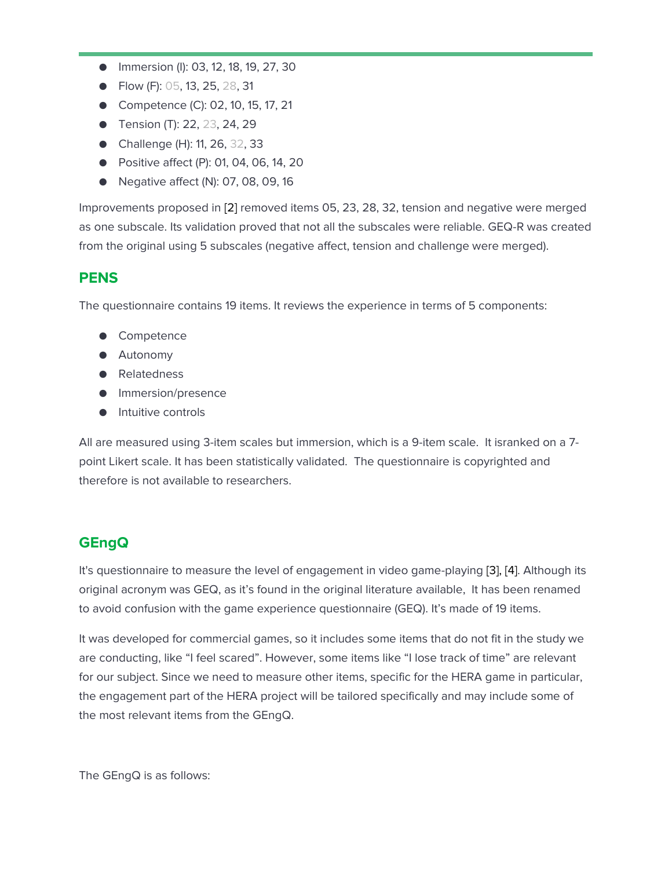- Immersion (I): 03, 12, 18, 19, 27, 30
- Flow (F): 05, 13, 25, 28, 31
- Competence (C): 02, 10, 15, 17, 21
- Tension (T): 22, 23, 24, 29
- Challenge (H): 11, 26, 32, 33
- Positive affect (P): 01, 04, 06, 14, 20
- Negative affect (N): 07, 08, 09, 16

Improvements proposed in [\[2\]](https://paperpile.com/c/SK64uV/PGJx) removed items 05, 23, 28, 32, tension and negative were merged as one subscale. Its validation proved that not all the subscales were reliable. GEQ-R was created from the original using 5 subscales (negative affect, tension and challenge were merged).

#### **PENS**

The questionnaire contains 19 items. It reviews the experience in terms of 5 components:

- Competence
- Autonomy
- Relatedness
- Immersion/presence
- Intuitive controls

All are measured using 3-item scales but immersion, which is a 9-item scale. It isranked on a 7 point Likert scale. It has been statistically validated. The questionnaire is copyrighted and therefore is not available to researchers.

## **GEngQ**

It's questionnaire to measure the level of engagement in video game-playing [\[3\], \[4\].](https://paperpile.com/c/SK64uV/tktJ+RB7y) Although its original acronym was GEQ, as it's found in the original literature available, It has been renamed to avoid confusion with the game experience questionnaire (GEQ). It's made of 19 items.

It was developed for commercial games, so it includes some items that do not fit in the study we are conducting, like "I feel scared". However, some items like "I lose track of time" are relevant for our subject. Since we need to measure other items, specific for the HERA game in particular, the engagement part of the HERA project will be tailored specifically and may include some of the most relevant items from the GEngQ.

The GEngQ is as follows: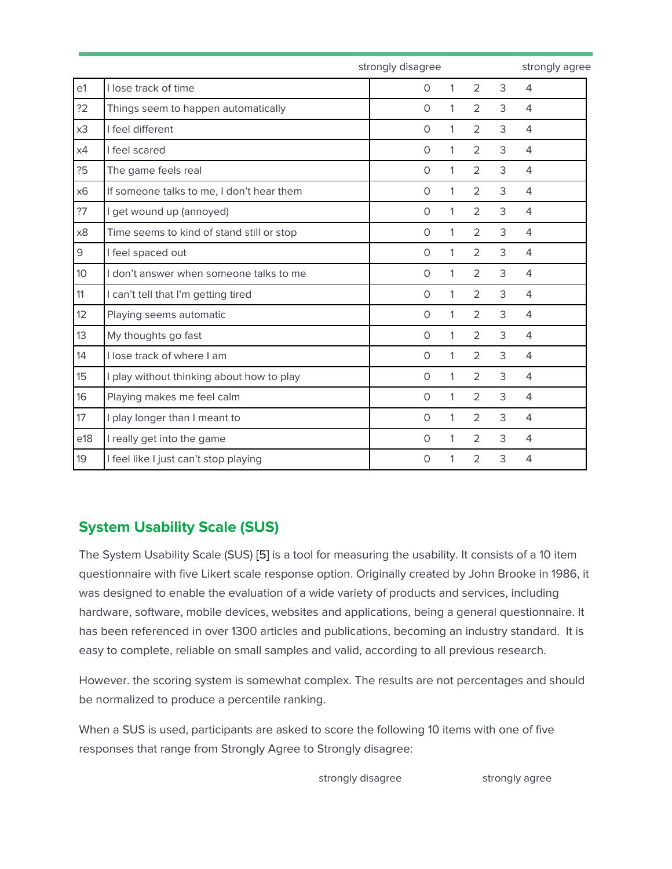|     |                                           | strongly disagree |              |                |   |                |  |  |
|-----|-------------------------------------------|-------------------|--------------|----------------|---|----------------|--|--|
| e1  | I lose track of time                      | $\mathbf 0$       | 1            | 2              | 3 | $\overline{4}$ |  |  |
| ?2  | Things seem to happen automatically       | $\mathbf 0$       | 1            | 2              | 3 | $\overline{4}$ |  |  |
| x3  | I feel different                          | $\Omega$          | $\mathbf{1}$ | $\overline{2}$ | 3 | $\overline{4}$ |  |  |
| x4  | I feel scared                             | $\Omega$          | 1            | $\overline{2}$ | 3 | $\overline{4}$ |  |  |
| 25  | The game feels real                       | $\Omega$          | 1            | $\overline{2}$ | 3 | $\overline{4}$ |  |  |
| x6  | If someone talks to me, I don't hear them | $\circ$           | 1            | $\overline{2}$ | 3 | $\overline{4}$ |  |  |
| ?7  | I get wound up (annoyed)                  | $\circ$           | 1            | $\overline{2}$ | 3 | $\overline{4}$ |  |  |
| x8  | Time seems to kind of stand still or stop | $\circ$           | 1            | $\overline{2}$ | 3 | $\overline{4}$ |  |  |
| 9   | I feel spaced out                         | $\circ$           | 1            | $\overline{2}$ | 3 | $\overline{4}$ |  |  |
| 10  | I don't answer when someone talks to me   | $\circ$           | 1            | $\overline{2}$ | 3 | $\overline{4}$ |  |  |
| 11  | I can't tell that I'm getting tired       | $\circ$           | 1            | $\overline{2}$ | 3 | $\overline{4}$ |  |  |
| 12  | Playing seems automatic                   | $\circ$           | 1            | $\overline{2}$ | 3 | $\overline{4}$ |  |  |
| 13  | My thoughts go fast                       | $\circ$           | 1            | $\overline{2}$ | 3 | $\overline{4}$ |  |  |
| 14  | I lose track of where I am                | $\circ$           | 1            | $\overline{2}$ | 3 | $\overline{4}$ |  |  |
| 15  | I play without thinking about how to play | $\circ$           | 1            | $\overline{2}$ | 3 | $\overline{4}$ |  |  |
| 16  | Playing makes me feel calm                | $\circ$           | 1            | $\overline{2}$ | 3 | $\overline{4}$ |  |  |
| 17  | I play longer than I meant to             | $\circ$           | 1            | $\overline{2}$ | 3 | $\overline{4}$ |  |  |
| e18 | I really get into the game                | $\circ$           | 1            | $\overline{2}$ | 3 | $\overline{4}$ |  |  |
| 19  | I feel like I just can't stop playing     | 0                 | 1            | $\overline{2}$ | 3 | $\overline{4}$ |  |  |

# **System Usability Scale (SUS)**

The System Usability Scale (SUS) [\[5\]](https://paperpile.com/c/SK64uV/k7O3) is a tool for measuring the usability. It consists of a 10 item questionnaire with five Likert scale response option. Originally created by John Brooke in 1986, it was designed to enable the evaluation of a wide variety of products and services, including hardware, software, mobile devices, websites and applications, being a general questionnaire. It has been referenced in over 1300 articles and publications, becoming an industry standard. It is easy to complete, reliable on small samples and valid, according to all previous research.

However. the scoring system is somewhat complex. The results are not percentages and should be normalized to produce a percentile ranking.

When a SUS is used, participants are asked to score the following 10 items with one of five responses that range from Strongly Agree to Strongly disagree:

strongly disagree strongly agree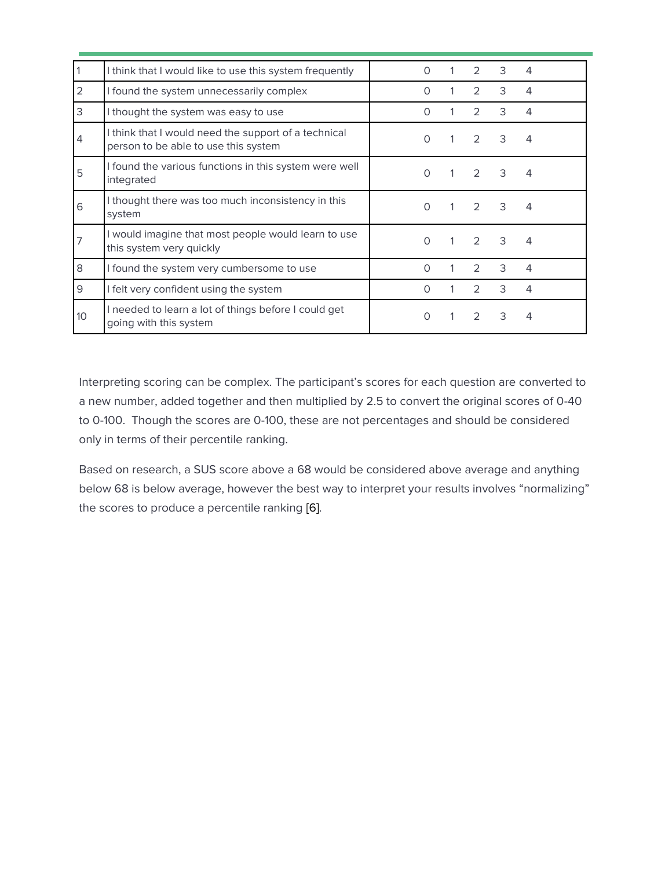|                 | I think that I would like to use this system frequently                                      | $\Omega$ |   | $\mathcal{P}$  | 3 | 4              |
|-----------------|----------------------------------------------------------------------------------------------|----------|---|----------------|---|----------------|
| 2               | I found the system unnecessarily complex                                                     | $\Omega$ |   | $\mathcal{L}$  | 3 | 4              |
| 3               | I thought the system was easy to use                                                         | $\Omega$ |   | $\mathcal{P}$  | 3 | 4              |
| 4               | I think that I would need the support of a technical<br>person to be able to use this system | $\Omega$ |   | $\mathcal{P}$  | 3 | 4              |
| 5               | I found the various functions in this system were well<br>integrated                         | $\Omega$ |   | $\mathcal{P}$  | 3 | $\overline{4}$ |
| 6               | I thought there was too much inconsistency in this<br>system                                 | $\Omega$ | 1 | $\overline{2}$ | 3 | 4              |
| 7               | I would imagine that most people would learn to use<br>this system very quickly              | $\Omega$ |   | 2              | 3 | 4              |
| 8               | I found the system very cumbersome to use                                                    | $\Omega$ |   | $\mathcal{P}$  | 3 | 4              |
| 9               | I felt very confident using the system                                                       | $\Omega$ |   | $\mathcal{P}$  | 3 | 4              |
| 10 <sup>°</sup> | I needed to learn a lot of things before I could get<br>going with this system               | $\Omega$ |   | $\mathcal{P}$  | 3 | 4              |

Interpreting scoring can be complex. The participant's scores for each question are converted to a new number, added together and then multiplied by 2.5 to convert the original scores of 0-40 to 0-100. Though the scores are 0-100, these are not percentages and should be considered only in terms of their percentile ranking.

Based on research, a SUS score above a 68 would be considered above average and anything below 68 is below average, however the best way to interpret your results involves "normalizing" the scores to produce a percentile ranking [\[6\].](https://paperpile.com/c/SK64uV/EzYg)